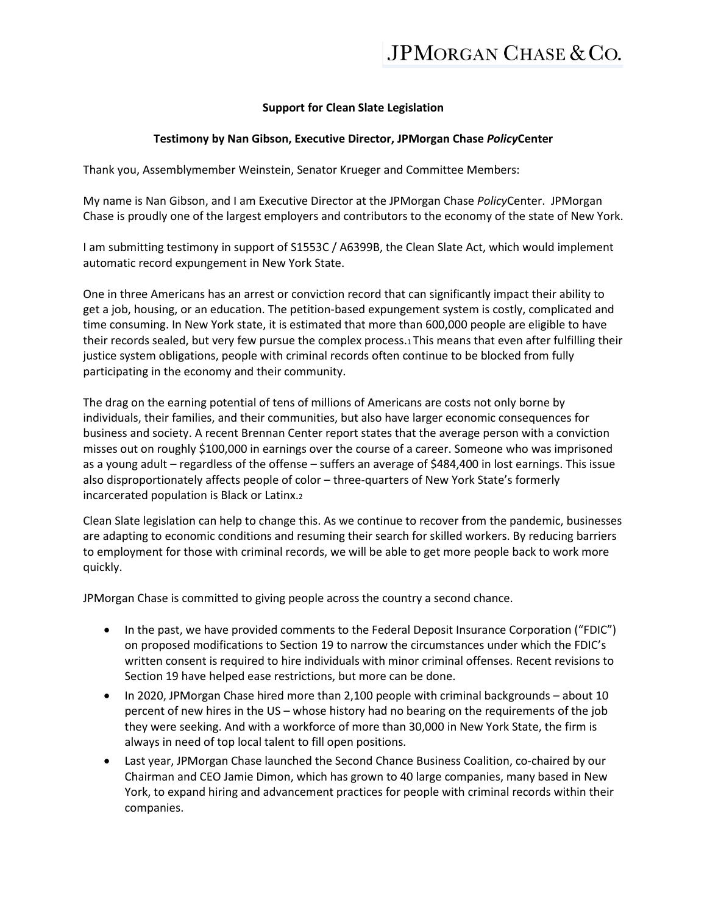## **Support for Clean Slate Legislation**

## **Testimony by Nan Gibson, Executive Director, JPMorgan Chase** *Policy***Center**

Thank you, Assemblymember Weinstein, Senator Krueger and Committee Members:

My name is Nan Gibson, and I am Executive Director at the JPMorgan Chase *Policy*Center. JPMorgan Chase is proudly one of the largest employers and contributors to the economy of the state of New York.

I am submitting testimony in support of S1553C / A6399B, the Clean Slate Act, which would implement automatic record expungement in New York State.

One in three Americans has an arrest or conviction record that can significantly impact their ability to get a job, housing, or an education. The petition-based expungement system is costly, complicated and time consuming. In New York state, it is estimated that more than 600,000 people are eligible to have their records sealed, but very few pursue the complex process.1 This means that even after fulfilling their justice system obligations, people with criminal records often continue to be blocked from fully participating in the economy and their community.

The drag on the earning potential of tens of millions of Americans are costs not only borne by individuals, their families, and their communities, but also have larger economic consequences for business and society. A recent Brennan Center report states that the average person with a conviction misses out on roughly \$100,000 in earnings over the course of a career. Someone who was imprisoned as a young adult – regardless of the offense – suffers an average of \$484,400 in lost earnings. This issue also disproportionately affects people of color – three-quarters of New York State's formerly incarcerated population is Black or Latinx.2

Clean Slate legislation can help to change this. As we continue to recover from the pandemic, businesses are adapting to economic conditions and resuming their search for skilled workers. By reducing barriers to employment for those with criminal records, we will be able to get more people back to work more quickly.

JPMorgan Chase is committed to giving people across the country a second chance.

- In the past, we have provided comments to the Federal Deposit Insurance Corporation ("FDIC") on proposed modifications to Section 19 to narrow the circumstances under which the FDIC's written consent is required to hire individuals with minor criminal offenses. Recent revisions to Section 19 have helped ease restrictions, but more can be done.
- In 2020, JPMorgan Chase hired more than 2,100 people with criminal backgrounds about 10 percent of new hires in the US – whose history had no bearing on the requirements of the job they were seeking. And with a workforce of more than 30,000 in New York State, the firm is always in need of top local talent to fill open positions.
- Last year, JPMorgan Chase launched the Second Chance Business Coalition, co-chaired by our Chairman and CEO Jamie Dimon, which has grown to 40 large companies, many based in New York, to expand hiring and advancement practices for people with criminal records within their companies.